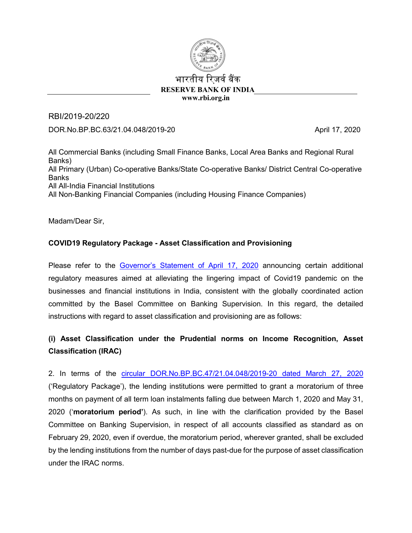

### भारतीय रिजर्व बैंक  **RESERVE BANK OF INDIA www.rbi.org.in**

RBI/2019-20/220 DOR.No.BP.BC.63/21.04.048/2019-20 April 17, 2020

All Commercial Banks (including Small Finance Banks, Local Area Banks and Regional Rural Banks) All Primary (Urban) Co-operative Banks/State Co-operative Banks/ District Central Co-operative Banks All All-India Financial Institutions All Non-Banking Financial Companies (including Housing Finance Companies)

Madam/Dear Sir,

## **COVID19 Regulatory Package - Asset Classification and Provisioning**

Please refer to the [Governor's Statement](https://www.rbi.org.in/Scripts/bs_viewcontent.aspx?Id=3853) of April 17, 2020 announcing certain additional regulatory measures aimed at alleviating the lingering impact of Covid19 pandemic on the businesses and financial institutions in India, consistent with the globally coordinated action committed by the Basel Committee on Banking Supervision. In this regard, the detailed instructions with regard to asset classification and provisioning are as follows:

# **(i) Asset Classification under the Prudential norms on Income Recognition, Asset Classification (IRAC)**

2. In terms of the [circular DOR.No.BP.BC.47/21.04.048/2019-20 dated March 27, 2020](https://www.rbi.org.in/Scripts/NotificationUser.aspx?Id=11835&Mode=0) ('Regulatory Package'), the lending institutions were permitted to grant a moratorium of three months on payment of all term loan instalments falling due between March 1, 2020 and May 31, 2020 ('**moratorium period'**). As such, in line with the clarification provided by the Basel Committee on Banking Supervision, in respect of all accounts classified as standard as on February 29, 2020, even if overdue, the moratorium period, wherever granted, shall be excluded by the lending institutions from the number of days past-due for the purpose of asset classification under the IRAC norms.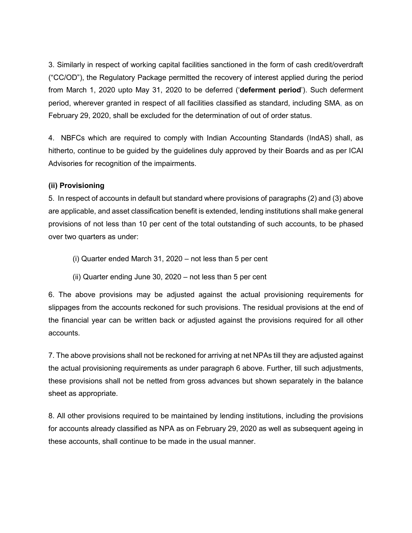3. Similarly in respect of working capital facilities sanctioned in the form of cash credit/overdraft ("CC/OD"), the Regulatory Package permitted the recovery of interest applied during the period from March 1, 2020 upto May 31, 2020 to be deferred ('**deferment period**'). Such deferment period, wherever granted in respect of all facilities classified as standard, including SMA, as on February 29, 2020, shall be excluded for the determination of out of order status.

4. NBFCs which are required to comply with Indian Accounting Standards (IndAS) shall, as hitherto, continue to be guided by the guidelines duly approved by their Boards and as per ICAI Advisories for recognition of the impairments.

### **(ii) Provisioning**

5. In respect of accounts in default but standard where provisions of paragraphs (2) and (3) above are applicable, and asset classification benefit is extended, lending institutions shall make general provisions of not less than 10 per cent of the total outstanding of such accounts, to be phased over two quarters as under:

- (i) Quarter ended March 31, 2020 not less than 5 per cent
- (ii) Quarter ending June 30, 2020 not less than 5 per cent

6. The above provisions may be adjusted against the actual provisioning requirements for slippages from the accounts reckoned for such provisions. The residual provisions at the end of the financial year can be written back or adjusted against the provisions required for all other accounts.

7. The above provisions shall not be reckoned for arriving at net NPAs till they are adjusted against the actual provisioning requirements as under paragraph 6 above. Further, till such adjustments, these provisions shall not be netted from gross advances but shown separately in the balance sheet as appropriate.

8. All other provisions required to be maintained by lending institutions, including the provisions for accounts already classified as NPA as on February 29, 2020 as well as subsequent ageing in these accounts, shall continue to be made in the usual manner.